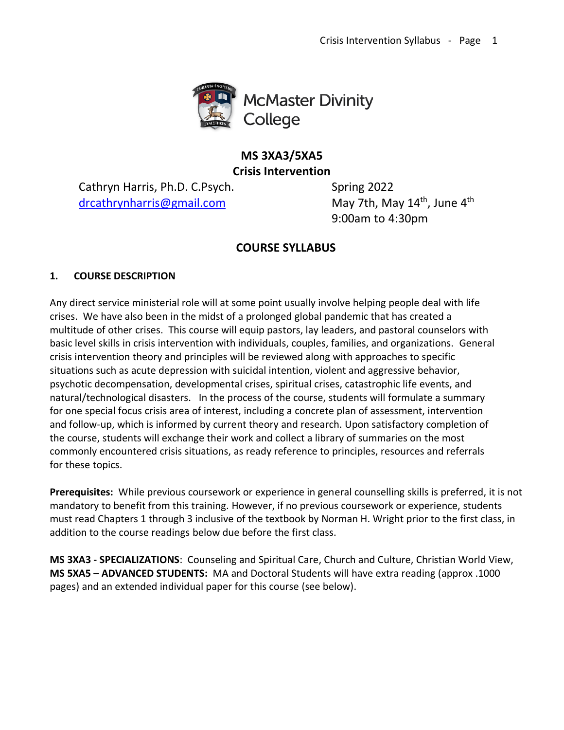

# **MS 3XA3/5XA5 Crisis Intervention**

Cathryn Harris, Ph.D. C.Psych. Spring 2022 [drcathrynharris@gmail.com](mailto:drcathrynharris@gmailc.om)

May 7th, May 14<sup>th</sup>, June 4<sup>th</sup> 9:00am to 4:30pm

# **COURSE SYLLABUS**

## **1. COURSE DESCRIPTION**

Any direct service ministerial role will at some point usually involve helping people deal with life crises. We have also been in the midst of a prolonged global pandemic that has created a multitude of other crises. This course will equip pastors, lay leaders, and pastoral counselors with basic level skills in crisis intervention with individuals, couples, families, and organizations. General crisis intervention theory and principles will be reviewed along with approaches to specific situations such as acute depression with suicidal intention, violent and aggressive behavior, psychotic decompensation, developmental crises, spiritual crises, catastrophic life events, and natural/technological disasters. In the process of the course, students will formulate a summary for one special focus crisis area of interest, including a concrete plan of assessment, intervention and follow-up, which is informed by current theory and research. Upon satisfactory completion of the course, students will exchange their work and collect a library of summaries on the most commonly encountered crisis situations, as ready reference to principles, resources and referrals for these topics.

**Prerequisites:** While previous coursework or experience in general counselling skills is preferred, it is not mandatory to benefit from this training. However, if no previous coursework or experience, students must read Chapters 1 through 3 inclusive of the textbook by Norman H. Wright prior to the first class, in addition to the course readings below due before the first class.

**MS 3XA3 - SPECIALIZATIONS**: Counseling and Spiritual Care, Church and Culture, Christian World View, **MS 5XA5 – ADVANCED STUDENTS:** MA and Doctoral Students will have extra reading (approx .1000 pages) and an extended individual paper for this course (see below).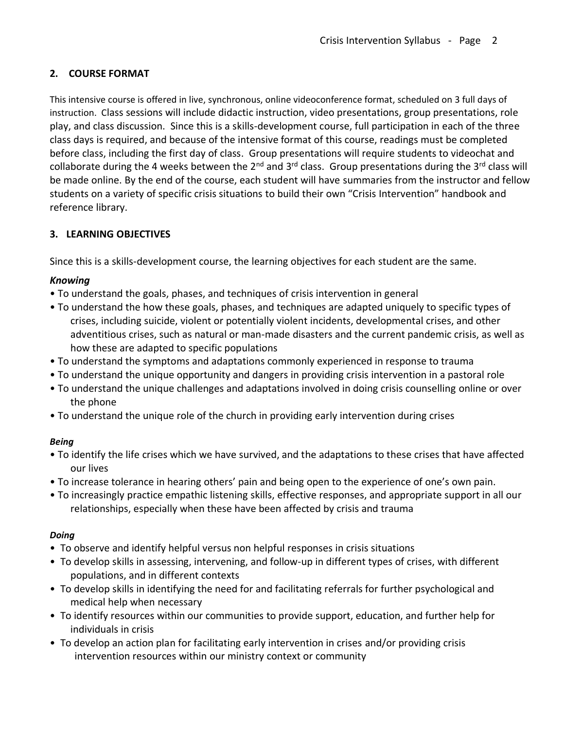## **2. COURSE FORMAT**

This intensive course is offered in live, synchronous, online videoconference format, scheduled on 3 full days of instruction. Class sessions will include didactic instruction, video presentations, group presentations, role play, and class discussion. Since this is a skills-development course, full participation in each of the three class days is required, and because of the intensive format of this course, readings must be completed before class, including the first day of class. Group presentations will require students to videochat and collaborate during the 4 weeks between the  $2^{nd}$  and  $3^{rd}$  class. Group presentations during the  $3^{rd}$  class will be made online. By the end of the course, each student will have summaries from the instructor and fellow students on a variety of specific crisis situations to build their own "Crisis Intervention" handbook and reference library.

## **3. LEARNING OBJECTIVES**

Since this is a skills-development course, the learning objectives for each student are the same.

## *Knowing*

- To understand the goals, phases, and techniques of crisis intervention in general
- To understand the how these goals, phases, and techniques are adapted uniquely to specific types of crises, including suicide, violent or potentially violent incidents, developmental crises, and other adventitious crises, such as natural or man-made disasters and the current pandemic crisis, as well as how these are adapted to specific populations
- To understand the symptoms and adaptations commonly experienced in response to trauma
- To understand the unique opportunity and dangers in providing crisis intervention in a pastoral role
- To understand the unique challenges and adaptations involved in doing crisis counselling online or over the phone
- To understand the unique role of the church in providing early intervention during crises

## *Being*

- To identify the life crises which we have survived, and the adaptations to these crises that have affected our lives
- To increase tolerance in hearing others' pain and being open to the experience of one's own pain.
- To increasingly practice empathic listening skills, effective responses, and appropriate support in all our relationships, especially when these have been affected by crisis and trauma

## *Doing*

- To observe and identify helpful versus non helpful responses in crisis situations
- To develop skills in assessing, intervening, and follow-up in different types of crises, with different populations, and in different contexts
- To develop skills in identifying the need for and facilitating referrals for further psychological and medical help when necessary
- To identify resources within our communities to provide support, education, and further help for individuals in crisis
- To develop an action plan for facilitating early intervention in crises and/or providing crisis intervention resources within our ministry context or community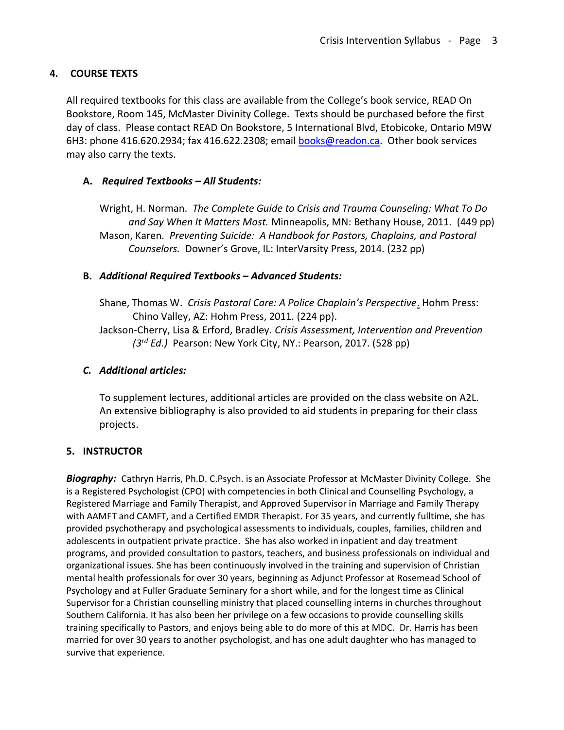## **4. COURSE TEXTS**

All required textbooks for this class are available from the College's book service, READ On Bookstore, Room 145, McMaster Divinity College. Texts should be purchased before the first day of class. Please contact READ On Bookstore, 5 International Blvd, Etobicoke, Ontario M9W 6H3: phone 416.620.2934; fax 416.622.2308; email [books@readon.ca.](mailto:books@readon.ca) Other book services may also carry the texts.

## **A.** *Required Textbooks – All Students:*

Wright, H. Norman. *The Complete Guide to Crisis and Trauma Counseling: What To Do and Say When It Matters Most.* Minneapolis, MN: Bethany House, 2011. (449 pp) Mason, Karen. *Preventing Suicide: A Handbook for Pastors, Chaplains, and Pastoral Counselors.* Downer's Grove, IL: InterVarsity Press, 2014. (232 pp)

## **B.** *Additional Required Textbooks – Advanced Students:*

Shane, Thomas W. *Crisis Pastoral Care: A Police Chaplain's Perspective*. Hohm Press: Chino Valley, AZ: Hohm Press, 2011. (224 pp).

Jackson-Cherry, Lisa & Erford, Bradley*. Crisis Assessment, Intervention and Prevention (3rd Ed.)* Pearson: New York City, NY.: Pearson, 2017. (528 pp)

## *C. Additional articles:*

To supplement lectures, additional articles are provided on the class website on A2L. An extensive bibliography is also provided to aid students in preparing for their class projects.

## **5. INSTRUCTOR**

*Biography:* Cathryn Harris, Ph.D. C.Psych. is an Associate Professor at McMaster Divinity College. She is a Registered Psychologist (CPO) with competencies in both Clinical and Counselling Psychology, a Registered Marriage and Family Therapist, and Approved Supervisor in Marriage and Family Therapy with AAMFT and CAMFT, and a Certified EMDR Therapist. For 35 years, and currently fulltime, she has provided psychotherapy and psychological assessments to individuals, couples, families, children and adolescents in outpatient private practice. She has also worked in inpatient and day treatment programs, and provided consultation to pastors, teachers, and business professionals on individual and organizational issues. She has been continuously involved in the training and supervision of Christian mental health professionals for over 30 years, beginning as Adjunct Professor at Rosemead School of Psychology and at Fuller Graduate Seminary for a short while, and for the longest time as Clinical Supervisor for a Christian counselling ministry that placed counselling interns in churches throughout Southern California. It has also been her privilege on a few occasions to provide counselling skills training specifically to Pastors, and enjoys being able to do more of this at MDC. Dr. Harris has been married for over 30 years to another psychologist, and has one adult daughter who has managed to survive that experience.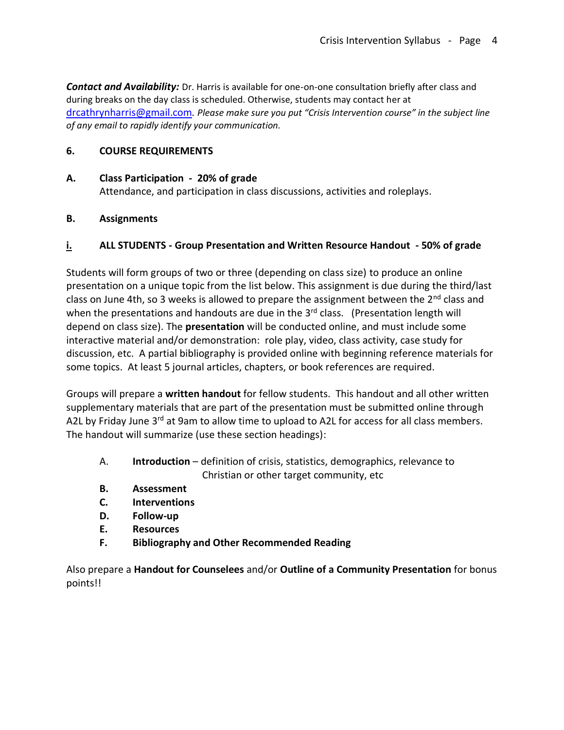*Contact and Availability:* Dr. Harris is available for one-on-one consultation briefly after class and during breaks on the day class is scheduled. Otherwise, students may contact her at [drcathrynharris@gmail.com](mailto:drcathrynharris@gmail.com)*. Please make sure you put "Crisis Intervention course" in the subject line of any email to rapidly identify your communication.*

## **6. COURSE REQUIREMENTS**

#### **A. Class Participation - 20% of grade**

Attendance, and participation in class discussions, activities and roleplays.

## **B. Assignments**

## **i. ALL STUDENTS - Group Presentation and Written Resource Handout - 50% of grade**

Students will form groups of two or three (depending on class size) to produce an online presentation on a unique topic from the list below. This assignment is due during the third/last class on June 4th, so 3 weeks is allowed to prepare the assignment between the 2<sup>nd</sup> class and when the presentations and handouts are due in the  $3<sup>rd</sup>$  class. (Presentation length will depend on class size). The **presentation** will be conducted online, and must include some interactive material and/or demonstration: role play, video, class activity, case study for discussion, etc. A partial bibliography is provided online with beginning reference materials for some topics. At least 5 journal articles, chapters, or book references are required.

Groups will prepare a **written handout** for fellow students. This handout and all other written supplementary materials that are part of the presentation must be submitted online through A2L by Friday June 3<sup>rd</sup> at 9am to allow time to upload to A2L for access for all class members. The handout will summarize (use these section headings):

- A. **Introduction** definition of crisis, statistics, demographics, relevance to Christian or other target community, etc
- **B. Assessment**
- **C. Interventions**
- **D. Follow-up**
- **E. Resources**
- **F. Bibliography and Other Recommended Reading**

Also prepare a **Handout for Counselees** and/or **Outline of a Community Presentation** for bonus points!!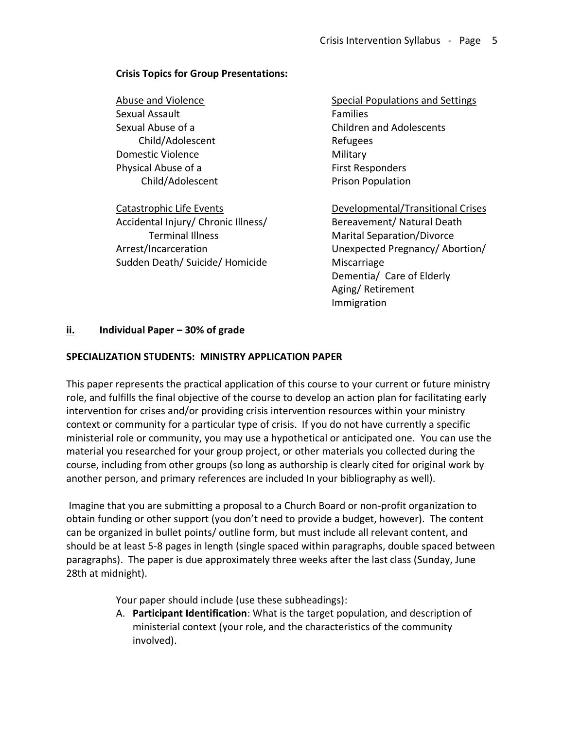#### **Crisis Topics for Group Presentations:**

Abuse and Violence Sexual Assault Sexual Abuse of a Child/Adolescent Domestic Violence Physical Abuse of a Child/Adolescent

Catastrophic Life Events Accidental Injury/ Chronic Illness/ Terminal Illness Arrest/Incarceration Sudden Death/ Suicide/ Homicide Special Populations and Settings Families Children and Adolescents Refugees Military First Responders Prison Population

Developmental/Transitional Crises Bereavement/ Natural Death Marital Separation/Divorce Unexpected Pregnancy/ Abortion/ Miscarriage Dementia/ Care of Elderly Aging/ Retirement Immigration

#### **ii. Individual Paper – 30% of grade**

#### **SPECIALIZATION STUDENTS: MINISTRY APPLICATION PAPER**

This paper represents the practical application of this course to your current or future ministry role, and fulfills the final objective of the course to develop an action plan for facilitating early intervention for crises and/or providing crisis intervention resources within your ministry context or community for a particular type of crisis. If you do not have currently a specific ministerial role or community, you may use a hypothetical or anticipated one. You can use the material you researched for your group project, or other materials you collected during the course, including from other groups (so long as authorship is clearly cited for original work by another person, and primary references are included In your bibliography as well).

Imagine that you are submitting a proposal to a Church Board or non-profit organization to obtain funding or other support (you don't need to provide a budget, however). The content can be organized in bullet points/ outline form, but must include all relevant content, and should be at least 5-8 pages in length (single spaced within paragraphs, double spaced between paragraphs). The paper is due approximately three weeks after the last class (Sunday, June 28th at midnight).

Your paper should include (use these subheadings):

A. **Participant Identification**: What is the target population, and description of ministerial context (your role, and the characteristics of the community involved).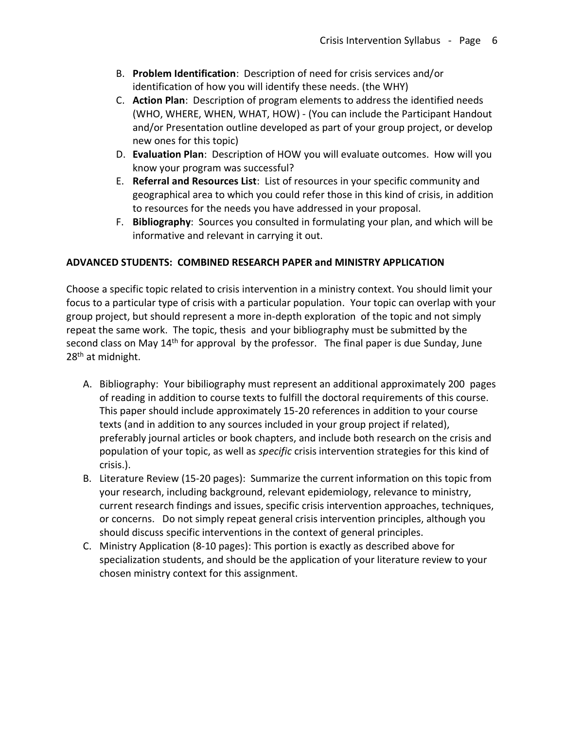- B. **Problem Identification**: Description of need for crisis services and/or identification of how you will identify these needs. (the WHY)
- C. **Action Plan**: Description of program elements to address the identified needs (WHO, WHERE, WHEN, WHAT, HOW) - (You can include the Participant Handout and/or Presentation outline developed as part of your group project, or develop new ones for this topic)
- D. **Evaluation Plan**: Description of HOW you will evaluate outcomes. How will you know your program was successful?
- E. **Referral and Resources List**: List of resources in your specific community and geographical area to which you could refer those in this kind of crisis, in addition to resources for the needs you have addressed in your proposal.
- F. **Bibliography**: Sources you consulted in formulating your plan, and which will be informative and relevant in carrying it out.

## **ADVANCED STUDENTS: COMBINED RESEARCH PAPER and MINISTRY APPLICATION**

Choose a specific topic related to crisis intervention in a ministry context. You should limit your focus to a particular type of crisis with a particular population. Your topic can overlap with your group project, but should represent a more in-depth exploration of the topic and not simply repeat the same work. The topic, thesis and your bibliography must be submitted by the second class on May 14<sup>th</sup> for approval by the professor. The final paper is due Sunday, June 28<sup>th</sup> at midnight.

- A. Bibliography: Your bibiliography must represent an additional approximately 200 pages of reading in addition to course texts to fulfill the doctoral requirements of this course. This paper should include approximately 15-20 references in addition to your course texts (and in addition to any sources included in your group project if related), preferably journal articles or book chapters, and include both research on the crisis and population of your topic, as well as *specific* crisis intervention strategies for this kind of crisis.).
- B. Literature Review (15-20 pages): Summarize the current information on this topic from your research, including background, relevant epidemiology, relevance to ministry, current research findings and issues, specific crisis intervention approaches, techniques, or concerns. Do not simply repeat general crisis intervention principles, although you should discuss specific interventions in the context of general principles.
- C. Ministry Application (8-10 pages): This portion is exactly as described above for specialization students, and should be the application of your literature review to your chosen ministry context for this assignment.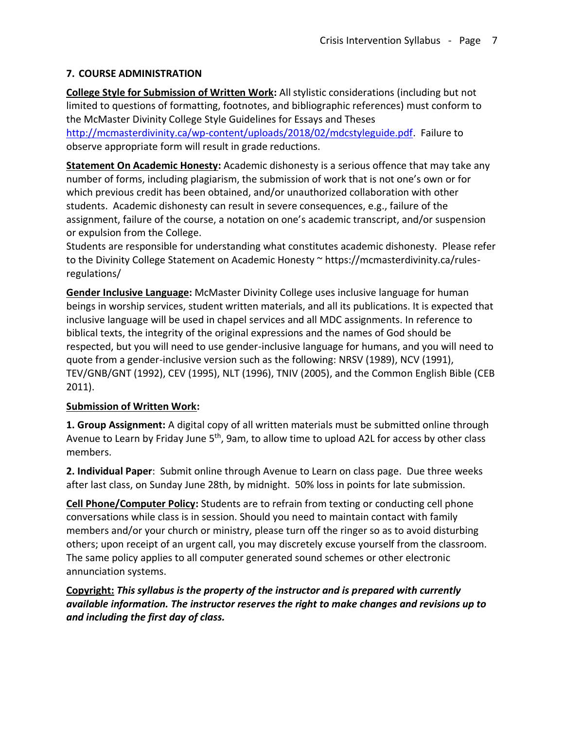## **7. COURSE ADMINISTRATION**

**College Style for Submission of Written Work:** All stylistic considerations (including but not limited to questions of formatting, footnotes, and bibliographic references) must conform to the McMaster Divinity College Style Guidelines for Essays and Theses

[http://mcmasterdivinity.ca/wp-content/uploads/2018/02/mdcstyleguide.pdf.](http://mcmasterdivinity.ca/wp-content/uploads/2018/02/mdcstyleguide.pdf) Failure to observe appropriate form will result in grade reductions.

**Statement On Academic Honesty:** Academic dishonesty is a serious offence that may take any number of forms, including plagiarism, the submission of work that is not one's own or for which previous credit has been obtained, and/or unauthorized collaboration with other students. Academic dishonesty can result in severe consequences, e.g., failure of the assignment, failure of the course, a notation on one's academic transcript, and/or suspension or expulsion from the College.

Students are responsible for understanding what constitutes academic dishonesty. Please refer to the Divinity College Statement on Academic Honesty ~ https://mcmasterdivinity.ca/rulesregulations/

**Gender Inclusive Language:** McMaster Divinity College uses inclusive language for human beings in worship services, student written materials, and all its publications. It is expected that inclusive language will be used in chapel services and all MDC assignments. In reference to biblical texts, the integrity of the original expressions and the names of God should be respected, but you will need to use gender-inclusive language for humans, and you will need to quote from a gender-inclusive version such as the following: NRSV (1989), NCV (1991), TEV/GNB/GNT (1992), CEV (1995), NLT (1996), TNIV (2005), and the Common English Bible (CEB 2011).

## **Submission of Written Work:**

**1. Group Assignment:** A digital copy of all written materials must be submitted online through Avenue to Learn by Friday June 5<sup>th</sup>, 9am, to allow time to upload A2L for access by other class members.

**2. Individual Paper**: Submit online through Avenue to Learn on class page. Due three weeks after last class, on Sunday June 28th, by midnight. 50% loss in points for late submission.

**Cell Phone/Computer Policy:** Students are to refrain from texting or conducting cell phone conversations while class is in session. Should you need to maintain contact with family members and/or your church or ministry, please turn off the ringer so as to avoid disturbing others; upon receipt of an urgent call, you may discretely excuse yourself from the classroom. The same policy applies to all computer generated sound schemes or other electronic annunciation systems.

**Copyright:** *This syllabus is the property of the instructor and is prepared with currently available information. The instructor reserves the right to make changes and revisions up to and including the first day of class.*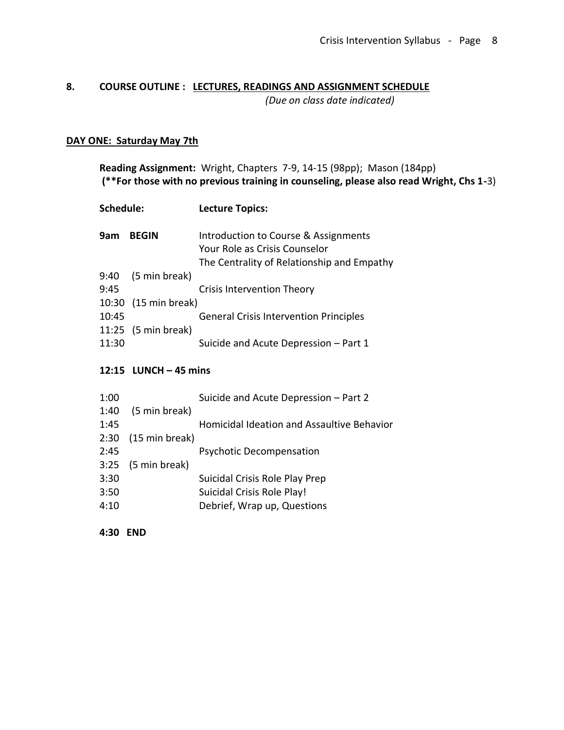# **8. COURSE OUTLINE : LECTURES, READINGS AND ASSIGNMENT SCHEDULE**

*(Due on class date indicated)*

## **DAY ONE: Saturday May 7th**

**Reading Assignment:** Wright, Chapters 7-9, 14-15 (98pp); Mason (184pp) **(\*\*For those with no previous training in counseling, please also read Wright, Chs 1-**3)

| Schedule: |                     | <b>Lecture Topics:</b>                                                                                              |
|-----------|---------------------|---------------------------------------------------------------------------------------------------------------------|
| 9am       | <b>BEGIN</b>        | Introduction to Course & Assignments<br>Your Role as Crisis Counselor<br>The Centrality of Relationship and Empathy |
| 9:40      | (5 min break)       |                                                                                                                     |
| 9:45      |                     | <b>Crisis Intervention Theory</b>                                                                                   |
| 10:30     | (15 min break)      |                                                                                                                     |
| 10:45     |                     | <b>General Crisis Intervention Principles</b>                                                                       |
|           | 11:25 (5 min break) |                                                                                                                     |
| 11:30     |                     | Suicide and Acute Depression - Part 1                                                                               |

## **12:15 LUNCH – 45 mins**

| 1:00 |                      | Suicide and Acute Depression - Part 2      |
|------|----------------------|--------------------------------------------|
| 1:40 | (5 min break)        |                                            |
| 1:45 |                      | Homicidal Ideation and Assaultive Behavior |
| 2:30 | (15 min break)       |                                            |
| 2:45 |                      | <b>Psychotic Decompensation</b>            |
|      | $3:25$ (5 min break) |                                            |
| 3:30 |                      | Suicidal Crisis Role Play Prep             |
| 3:50 |                      | Suicidal Crisis Role Play!                 |
| 4:10 |                      | Debrief, Wrap up, Questions                |
|      |                      |                                            |

**4:30 END**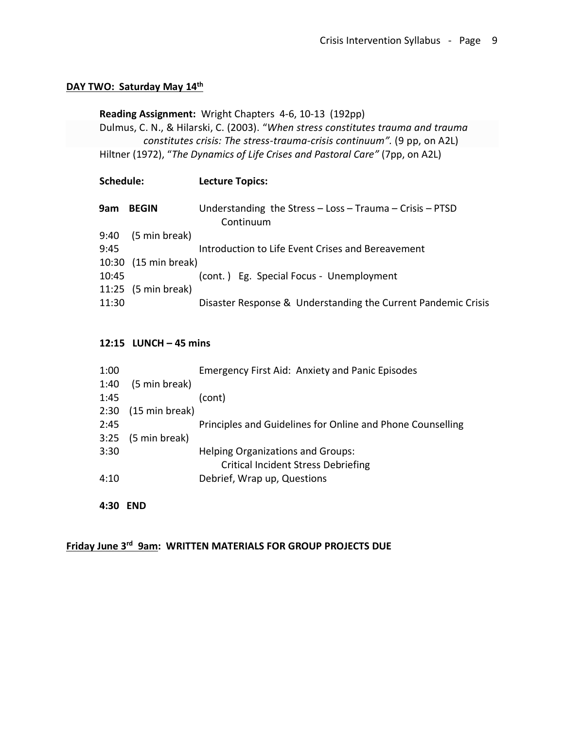## **DAY TWO: Saturday May 14th**

## **Reading Assignment:** Wright Chapters 4-6, 10-13 (192pp)

Dulmus, C. N., & Hilarski, C. (2003). "*When stress constitutes trauma and trauma constitutes crisis: The stress-trauma-crisis continuum".* (9 pp, on A2L) Hiltner (1972), "*The Dynamics of Life Crises and Pastoral Care"* (7pp, on A2L)

## **Schedule: Lecture Topics:**

| 9am   | <b>BEGIN</b>         | Understanding the Stress $-$ Loss $-$ Trauma $-$ Crisis $-$ PTSD<br>Continuum |
|-------|----------------------|-------------------------------------------------------------------------------|
| 9:40  | (5 min break)        |                                                                               |
| 9:45  |                      | Introduction to Life Event Crises and Bereavement                             |
|       | 10:30 (15 min break) |                                                                               |
| 10:45 |                      | (cont.) Eg. Special Focus - Unemployment                                      |
|       | 11:25 (5 min break)  |                                                                               |
| 11:30 |                      | Disaster Response & Understanding the Current Pandemic Crisis                 |

#### **12:15 LUNCH – 45 mins**

| 1:00 |                | <b>Emergency First Aid: Anxiety and Panic Episodes</b>     |
|------|----------------|------------------------------------------------------------|
| 1:40 | (5 min break)  |                                                            |
| 1:45 |                | (cont)                                                     |
| 2:30 | (15 min break) |                                                            |
| 2:45 |                | Principles and Guidelines for Online and Phone Counselling |
| 3:25 | (5 min break)  |                                                            |
| 3:30 |                | <b>Helping Organizations and Groups:</b>                   |
|      |                | <b>Critical Incident Stress Debriefing</b>                 |
| 4:10 |                | Debrief, Wrap up, Questions                                |
|      |                |                                                            |

## **4:30 END**

**Friday June 3<sup>rd</sup> 9am: WRITTEN MATERIALS FOR GROUP PROJECTS DUE**